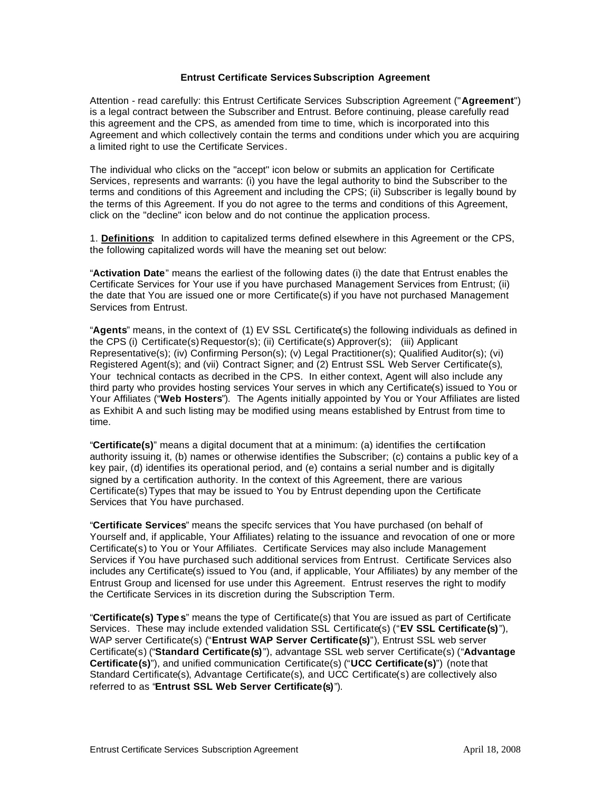#### **Entrust Certificate Services Subscription Agreement**

Attention - read carefully: this Entrust Certificate Services Subscription Agreement ("**Agreement**") is a legal contract between the Subscriber and Entrust. Before continuing, please carefully read this agreement and the CPS, as amended from time to time, which is incorporated into this Agreement and which collectively contain the terms and conditions under which you are acquiring a limited right to use the Certificate Services.

The individual who clicks on the "accept" icon below or submits an application for Certificate Services, represents and warrants: (i) you have the legal authority to bind the Subscriber to the terms and conditions of this Agreement and including the CPS; (ii) Subscriber is legally bound by the terms of this Agreement. If you do not agree to the terms and conditions of this Agreement, click on the "decline" icon below and do not continue the application process.

1. **Definitions**: In addition to capitalized terms defined elsewhere in this Agreement or the CPS, the following capitalized words will have the meaning set out below:

"**Activation Date**" means the earliest of the following dates (i) the date that Entrust enables the Certificate Services for Your use if you have purchased Management Services from Entrust; (ii) the date that You are issued one or more Certificate(s) if you have not purchased Management Services from Entrust.

"**Agents**" means, in the context of (1) EV SSL Certificate(s) the following individuals as defined in the CPS (i) Certificate(s) Requestor(s); (ii) Certificate(s) Approver(s); (iii) Applicant Representative(s); (iv) Confirming Person(s); (v) Legal Practitioner(s); Qualified Auditor(s); (vi) Registered Agent(s); and (vii) Contract Signer; and (2) Entrust SSL Web Server Certificate(s), Your technical contacts as decribed in the CPS. In either context, Agent will also include any third party who provides hosting services Your serves in which any Certificate(s) issued to You or Your Affiliates ("**Web Hosters**"). The Agents initially appointed by You or Your Affiliates are listed as Exhibit A and such listing may be modified using means established by Entrust from time to time.

"**Certificate(s)**" means a digital document that at a minimum: (a) identifies the certification authority issuing it, (b) names or otherwise identifies the Subscriber; (c) contains a public key of a key pair, (d) identifies its operational period, and (e) contains a serial number and is digitally signed by a certification authority. In the context of this Agreement, there are various Certificate(s) Types that may be issued to You by Entrust depending upon the Certificate Services that You have purchased.

"**Certificate Services**" means the specifc services that You have purchased (on behalf of Yourself and, if applicable, Your Affiliates) relating to the issuance and revocation of one or more Certificate(s) to You or Your Affiliates. Certificate Services may also include Management Services if You have purchased such additional services from Entrust. Certificate Services also includes any Certificate(s) issued to You (and, if applicable, Your Affiliates) by any member of the Entrust Group and licensed for use under this Agreement. Entrust reserves the right to modify the Certificate Services in its discretion during the Subscription Term.

"**Certificate(s) Type s**" means the type of Certificate(s) that You are issued as part of Certificate Services. These may include extended validation SSL Certificate(s) ("**EV SSL Certificate(s)**"), WAP server Certificate(s) ("**Entrust WAP Server Certificate(s)**"), Entrust SSL web server Certificate(s) ("**Standard Certificate(s)**"), advantage SSL web server Certificate(s) ("**Advantage Certificate(s)**"), and unified communication Certificate(s) ("**UCC Certificate(s)**") (note that Standard Certificate(s), Advantage Certificate(s), and UCC Certificate(s) are collectively also referred to as "**Entrust SSL Web Server Certificate(s)**").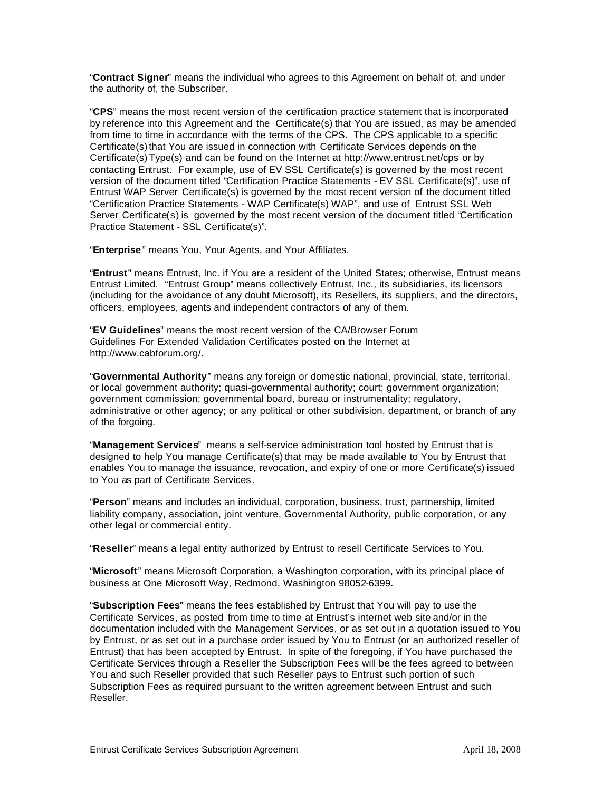"**Contract Signer**" means the individual who agrees to this Agreement on behalf of, and under the authority of, the Subscriber.

"**CPS**" means the most recent version of the certification practice statement that is incorporated by reference into this Agreement and the Certificate(s) that You are issued, as may be amended from time to time in accordance with the terms of the CPS. The CPS applicable to a specific Certificate(s) that You are issued in connection with Certificate Services depends on the Certificate(s) Type(s) and can be found on the Internet at http://www.entrust.net/cps or by contacting Entrust. For example, use of EV SSL Certificate(s) is governed by the most recent version of the document titled "Certification Practice Statements - EV SSL Certificate(s)", use of Entrust WAP Server Certificate(s) is governed by the most recent version of the document titled "Certification Practice Statements - WAP Certificate(s) WAP", and use of Entrust SSL Web Server Certificate(s) is governed by the most recent version of the document titled "Certification Practice Statement - SSL Certificate(s)".

"**Enterprise** " means You, Your Agents, and Your Affiliates.

"**Entrust**" means Entrust, Inc. if You are a resident of the United States; otherwise, Entrust means Entrust Limited. "Entrust Group" means collectively Entrust, Inc., its subsidiaries, its licensors (including for the avoidance of any doubt Microsoft), its Resellers, its suppliers, and the directors, officers, employees, agents and independent contractors of any of them.

"**EV Guidelines**" means the most recent version of the CA/Browser Forum Guidelines For Extended Validation Certificates posted on the Internet at http://www.cabforum.org/.

"**Governmental Authority**" means any foreign or domestic national, provincial, state, territorial, or local government authority; quasi-governmental authority; court; government organization; government commission; governmental board, bureau or instrumentality; regulatory, administrative or other agency; or any political or other subdivision, department, or branch of any of the forgoing.

"**Management Services**" means a self-service administration tool hosted by Entrust that is designed to help You manage Certificate(s) that may be made available to You by Entrust that enables You to manage the issuance, revocation, and expiry of one or more Certificate(s) issued to You as part of Certificate Services.

"**Person**" means and includes an individual, corporation, business, trust, partnership, limited liability company, association, joint venture, Governmental Authority, public corporation, or any other legal or commercial entity.

"**Reseller**" means a legal entity authorized by Entrust to resell Certificate Services to You.

"**Microsoft**" means Microsoft Corporation, a Washington corporation, with its principal place of business at One Microsoft Way, Redmond, Washington 98052-6399.

"**Subscription Fees**" means the fees established by Entrust that You will pay to use the Certificate Services, as posted from time to time at Entrust's internet web site and/or in the documentation included with the Management Services, or as set out in a quotation issued to You by Entrust, or as set out in a purchase order issued by You to Entrust (or an authorized reseller of Entrust) that has been accepted by Entrust. In spite of the foregoing, if You have purchased the Certificate Services through a Reseller the Subscription Fees will be the fees agreed to between You and such Reseller provided that such Reseller pays to Entrust such portion of such Subscription Fees as required pursuant to the written agreement between Entrust and such Reseller.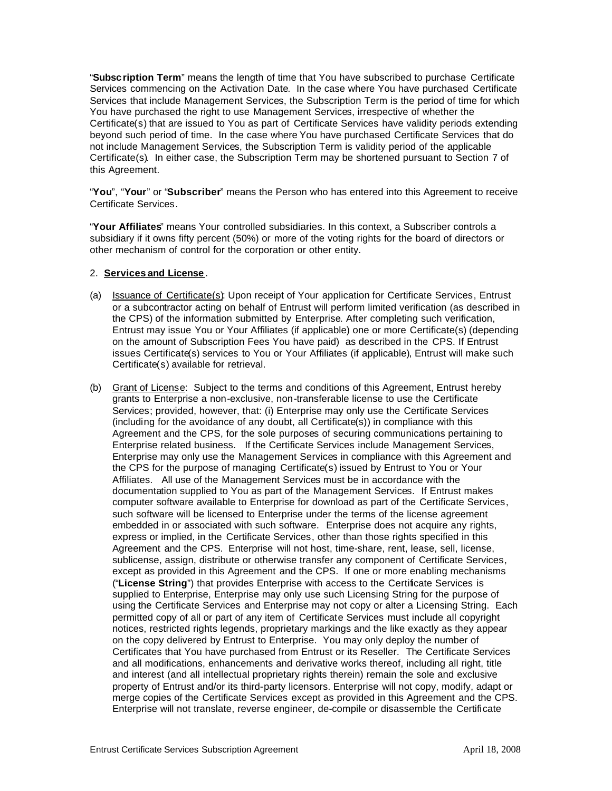"**Subscription Term**" means the length of time that You have subscribed to purchase Certificate Services commencing on the Activation Date. In the case where You have purchased Certificate Services that include Management Services, the Subscription Term is the period of time for which You have purchased the right to use Management Services, irrespective of whether the Certificate(s) that are issued to You as part of Certificate Services have validity periods extending beyond such period of time. In the case where You have purchased Certificate Services that do not include Management Services, the Subscription Term is validity period of the applicable Certificate(s). In either case, the Subscription Term may be shortened pursuant to Section 7 of this Agreement.

"**You**", "**Your**" or "**Subscriber**" means the Person who has entered into this Agreement to receive Certificate Services.

"**Your Affiliates**" means Your controlled subsidiaries. In this context, a Subscriber controls a subsidiary if it owns fifty percent (50%) or more of the voting rights for the board of directors or other mechanism of control for the corporation or other entity.

#### 2. **Services and License** .

- (a) Issuance of Certificate(s): Upon receipt of Your application for Certificate Services, Entrust or a subcontractor acting on behalf of Entrust will perform limited verification (as described in the CPS) of the information submitted by Enterprise. After completing such verification, Entrust may issue You or Your Affiliates (if applicable) one or more Certificate(s) (depending on the amount of Subscription Fees You have paid) as described in the CPS. If Entrust issues Certificate(s) services to You or Your Affiliates (if applicable), Entrust will make such Certificate(s) available for retrieval.
- (b) Grant of License: Subject to the terms and conditions of this Agreement, Entrust hereby grants to Enterprise a non-exclusive, non-transferable license to use the Certificate Services; provided, however, that: (i) Enterprise may only use the Certificate Services (including for the avoidance of any doubt, all Certificate(s)) in compliance with this Agreement and the CPS, for the sole purposes of securing communications pertaining to Enterprise related business. If the Certificate Services include Management Services, Enterprise may only use the Management Services in compliance with this Agreement and the CPS for the purpose of managing Certificate(s) issued by Entrust to You or Your Affiliates. All use of the Management Services must be in accordance with the documentation supplied to You as part of the Management Services. If Entrust makes computer software available to Enterprise for download as part of the Certificate Services, such software will be licensed to Enterprise under the terms of the license agreement embedded in or associated with such software. Enterprise does not acquire any rights, express or implied, in the Certificate Services, other than those rights specified in this Agreement and the CPS. Enterprise will not host, time-share, rent, lease, sell, license, sublicense, assign, distribute or otherwise transfer any component of Certificate Services, except as provided in this Agreement and the CPS. If one or more enabling mechanisms ("**License String**") that provides Enterprise with access to the Certificate Services is supplied to Enterprise, Enterprise may only use such Licensing String for the purpose of using the Certificate Services and Enterprise may not copy or alter a Licensing String. Each permitted copy of all or part of any item of Certificate Services must include all copyright notices, restricted rights legends, proprietary markings and the like exactly as they appear on the copy delivered by Entrust to Enterprise. You may only deploy the number of Certificates that You have purchased from Entrust or its Reseller. The Certificate Services and all modifications, enhancements and derivative works thereof, including all right, title and interest (and all intellectual proprietary rights therein) remain the sole and exclusive property of Entrust and/or its third-party licensors. Enterprise will not copy, modify, adapt or merge copies of the Certificate Services except as provided in this Agreement and the CPS. Enterprise will not translate, reverse engineer, de-compile or disassemble the Certificate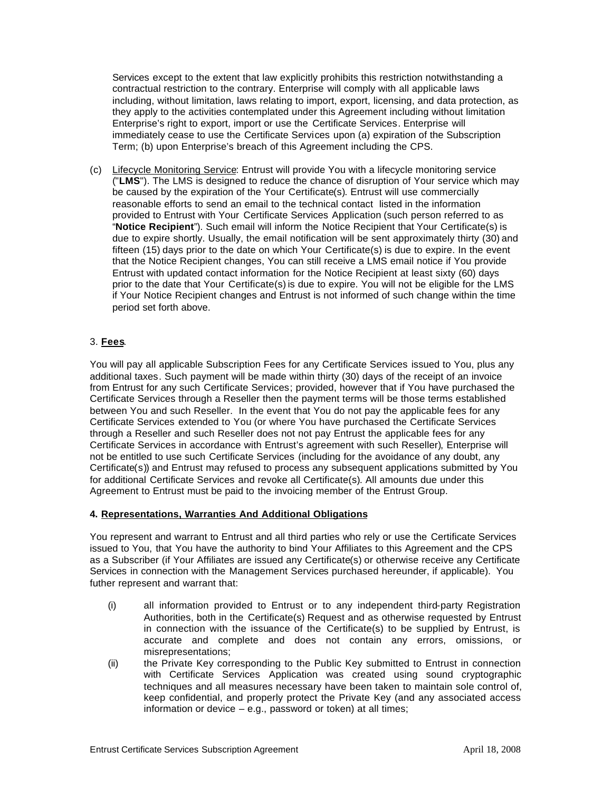Services except to the extent that law explicitly prohibits this restriction notwithstanding a contractual restriction to the contrary. Enterprise will comply with all applicable laws including, without limitation, laws relating to import, export, licensing, and data protection, as they apply to the activities contemplated under this Agreement including without limitation Enterprise's right to export, import or use the Certificate Services. Enterprise will immediately cease to use the Certificate Services upon (a) expiration of the Subscription Term; (b) upon Enterprise's breach of this Agreement including the CPS.

(c) Lifecycle Monitoring Service: Entrust will provide You with a lifecycle monitoring service ("**LMS**"). The LMS is designed to reduce the chance of disruption of Your service which may be caused by the expiration of the Your Certificate(s). Entrust will use commercially reasonable efforts to send an email to the technical contact listed in the information provided to Entrust with Your Certificate Services Application (such person referred to as "**Notice Recipient**"). Such email will inform the Notice Recipient that Your Certificate(s) is due to expire shortly. Usually, the email notification will be sent approximately thirty (30) and fifteen (15) days prior to the date on which Your Certificate(s) is due to expire. In the event that the Notice Recipient changes, You can still receive a LMS email notice if You provide Entrust with updated contact information for the Notice Recipient at least sixty (60) days prior to the date that Your Certificate(s) is due to expire. You will not be eligible for the LMS if Your Notice Recipient changes and Entrust is not informed of such change within the time period set forth above.

## 3. **Fees**.

You will pay all applicable Subscription Fees for any Certificate Services issued to You, plus any additional taxes. Such payment will be made within thirty (30) days of the receipt of an invoice from Entrust for any such Certificate Services; provided, however that if You have purchased the Certificate Services through a Reseller then the payment terms will be those terms established between You and such Reseller. In the event that You do not pay the applicable fees for any Certificate Services extended to You (or where You have purchased the Certificate Services through a Reseller and such Reseller does not not pay Entrust the applicable fees for any Certificate Services in accordance with Entrust's agreement with such Reseller), Enterprise will not be entitled to use such Certificate Services (including for the avoidance of any doubt, any Certificate(s)) and Entrust may refused to process any subsequent applications submitted by You for additional Certificate Services and revoke all Certificate(s). All amounts due under this Agreement to Entrust must be paid to the invoicing member of the Entrust Group.

### **4. Representations, Warranties And Additional Obligations**

You represent and warrant to Entrust and all third parties who rely or use the Certificate Services issued to You, that You have the authority to bind Your Affiliates to this Agreement and the CPS as a Subscriber (if Your Affiliates are issued any Certificate(s) or otherwise receive any Certificate Services in connection with the Management Services purchased hereunder, if applicable). You futher represent and warrant that:

- (i) all information provided to Entrust or to any independent third-party Registration Authorities, both in the Certificate(s) Request and as otherwise requested by Entrust in connection with the issuance of the Certificate(s) to be supplied by Entrust, is accurate and complete and does not contain any errors, omissions, or misrepresentations;
- (ii) the Private Key corresponding to the Public Key submitted to Entrust in connection with Certificate Services Application was created using sound cryptographic techniques and all measures necessary have been taken to maintain sole control of, keep confidential, and properly protect the Private Key (and any associated access information or device – e.g., password or token) at all times;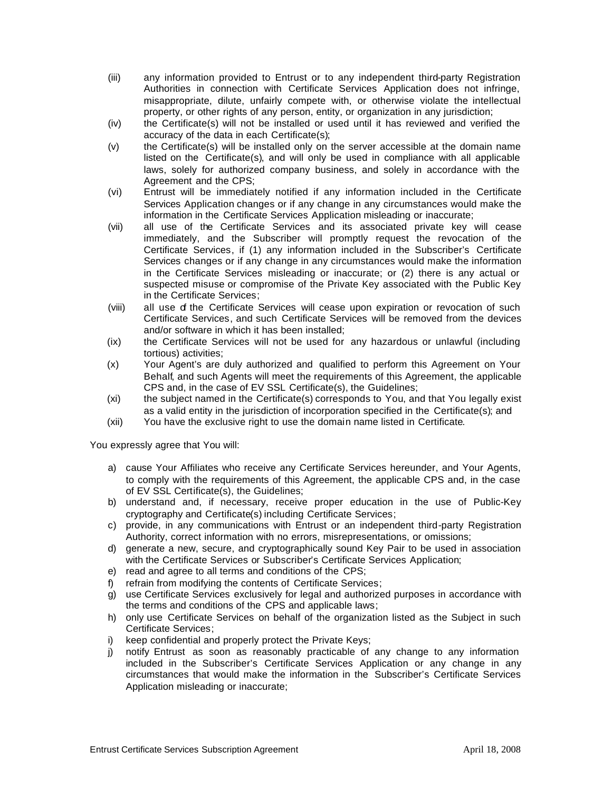- (iii) any information provided to Entrust or to any independent third-party Registration Authorities in connection with Certificate Services Application does not infringe, misappropriate, dilute, unfairly compete with, or otherwise violate the intellectual property, or other rights of any person, entity, or organization in any jurisdiction;
- (iv) the Certificate(s) will not be installed or used until it has reviewed and verified the accuracy of the data in each Certificate(s);
- (v) the Certificate(s) will be installed only on the server accessible at the domain name listed on the Certificate(s), and will only be used in compliance with all applicable laws, solely for authorized company business, and solely in accordance with the Agreement and the CPS;
- (vi) Entrust will be immediately notified if any information included in the Certificate Services Application changes or if any change in any circumstances would make the information in the Certificate Services Application misleading or inaccurate;
- (vii) all use of the Certificate Services and its associated private key will cease immediately, and the Subscriber will promptly request the revocation of the Certificate Services, if (1) any information included in the Subscriber's Certificate Services changes or if any change in any circumstances would make the information in the Certificate Services misleading or inaccurate; or (2) there is any actual or suspected misuse or compromise of the Private Key associated with the Public Key in the Certificate Services;
- (viii) all use of the Certificate Services will cease upon expiration or revocation of such Certificate Services, and such Certificate Services will be removed from the devices and/or software in which it has been installed;
- (ix) the Certificate Services will not be used for any hazardous or unlawful (including tortious) activities;
- (x) Your Agent's are duly authorized and qualified to perform this Agreement on Your Behalf, and such Agents will meet the requirements of this Agreement, the applicable CPS and, in the case of EV SSL Certificate(s), the Guidelines;
- (xi) the subject named in the Certificate(s) corresponds to You, and that You legally exist as a valid entity in the jurisdiction of incorporation specified in the Certificate(s); and
- (xii) You have the exclusive right to use the domain name listed in Certificate.

You expressly agree that You will:

- a) cause Your Affiliates who receive any Certificate Services hereunder, and Your Agents, to comply with the requirements of this Agreement, the applicable CPS and, in the case of EV SSL Certificate(s), the Guidelines;
- b) understand and, if necessary, receive proper education in the use of Public-Key cryptography and Certificate(s) including Certificate Services;
- c) provide, in any communications with Entrust or an independent third-party Registration Authority, correct information with no errors, misrepresentations, or omissions;
- d) generate a new, secure, and cryptographically sound Key Pair to be used in association with the Certificate Services or Subscriber's Certificate Services Application;
- e) read and agree to all terms and conditions of the CPS;
- f) refrain from modifying the contents of Certificate Services;
- g) use Certificate Services exclusively for legal and authorized purposes in accordance with the terms and conditions of the CPS and applicable laws;
- h) only use Certificate Services on behalf of the organization listed as the Subject in such Certificate Services;
- i) keep confidential and properly protect the Private Keys;
- j) notify Entrust as soon as reasonably practicable of any change to any information included in the Subscriber's Certificate Services Application or any change in any circumstances that would make the information in the Subscriber's Certificate Services Application misleading or inaccurate;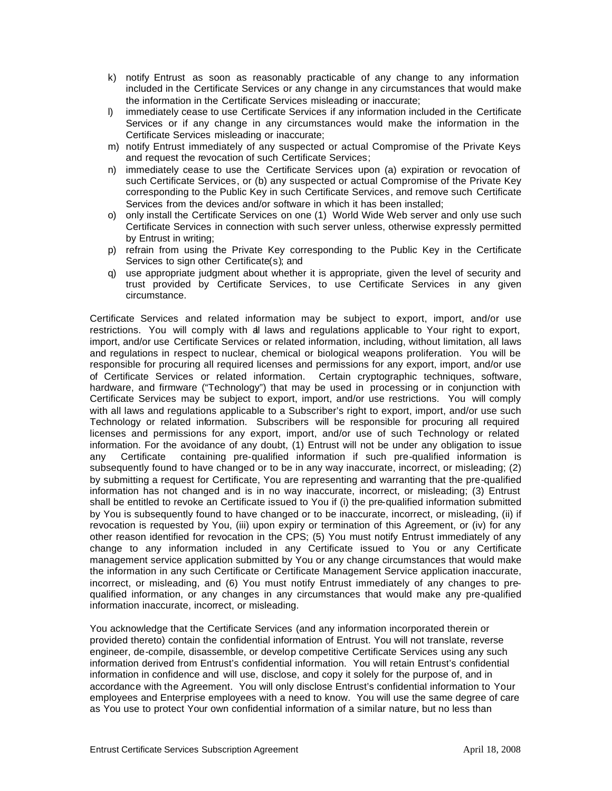- k) notify Entrust as soon as reasonably practicable of any change to any information included in the Certificate Services or any change in any circumstances that would make the information in the Certificate Services misleading or inaccurate;
- l) immediately cease to use Certificate Services if any information included in the Certificate Services or if any change in any circumstances would make the information in the Certificate Services misleading or inaccurate;
- m) notify Entrust immediately of any suspected or actual Compromise of the Private Keys and request the revocation of such Certificate Services;
- n) immediately cease to use the Certificate Services upon (a) expiration or revocation of such Certificate Services, or (b) any suspected or actual Compromise of the Private Key corresponding to the Public Key in such Certificate Services, and remove such Certificate Services from the devices and/or software in which it has been installed;
- o) only install the Certificate Services on one (1) World Wide Web server and only use such Certificate Services in connection with such server unless, otherwise expressly permitted by Entrust in writing;
- p) refrain from using the Private Key corresponding to the Public Key in the Certificate Services to sign other Certificate(s); and
- q) use appropriate judgment about whether it is appropriate, given the level of security and trust provided by Certificate Services, to use Certificate Services in any given circumstance.

Certificate Services and related information may be subject to export, import, and/or use restrictions. You will comply with all laws and regulations applicable to Your right to export, import, and/or use Certificate Services or related information, including, without limitation, all laws and regulations in respect to nuclear, chemical or biological weapons proliferation. You will be responsible for procuring all required licenses and permissions for any export, import, and/or use of Certificate Services or related information. Certain cryptographic techniques, software, hardware, and firmware ("Technology") that may be used in processing or in conjunction with Certificate Services may be subject to export, import, and/or use restrictions. You will comply with all laws and regulations applicable to a Subscriber's right to export, import, and/or use such Technology or related information. Subscribers will be responsible for procuring all required licenses and permissions for any export, import, and/or use of such Technology or related information. For the avoidance of any doubt, (1) Entrust will not be under any obligation to issue any Certificate containing pre-qualified information if such pre-qualified information is subsequently found to have changed or to be in any way inaccurate, incorrect, or misleading; (2) by submitting a request for Certificate, You are representing and warranting that the pre-qualified information has not changed and is in no way inaccurate, incorrect, or misleading; (3) Entrust shall be entitled to revoke an Certificate issued to You if (i) the pre-qualified information submitted by You is subsequently found to have changed or to be inaccurate, incorrect, or misleading, (ii) if revocation is requested by You, (iii) upon expiry or termination of this Agreement, or (iv) for any other reason identified for revocation in the CPS; (5) You must notify Entrust immediately of any change to any information included in any Certificate issued to You or any Certificate management service application submitted by You or any change circumstances that would make the information in any such Certificate or Certificate Management Service application inaccurate, incorrect, or misleading, and (6) You must notify Entrust immediately of any changes to prequalified information, or any changes in any circumstances that would make any pre-qualified information inaccurate, incorrect, or misleading.

You acknowledge that the Certificate Services (and any information incorporated therein or provided thereto) contain the confidential information of Entrust. You will not translate, reverse engineer, de-compile, disassemble, or develop competitive Certificate Services using any such information derived from Entrust's confidential information. You will retain Entrust's confidential information in confidence and will use, disclose, and copy it solely for the purpose of, and in accordance with the Agreement. You will only disclose Entrust's confidential information to Your employees and Enterprise employees with a need to know. You will use the same degree of care as You use to protect Your own confidential information of a similar nature, but no less than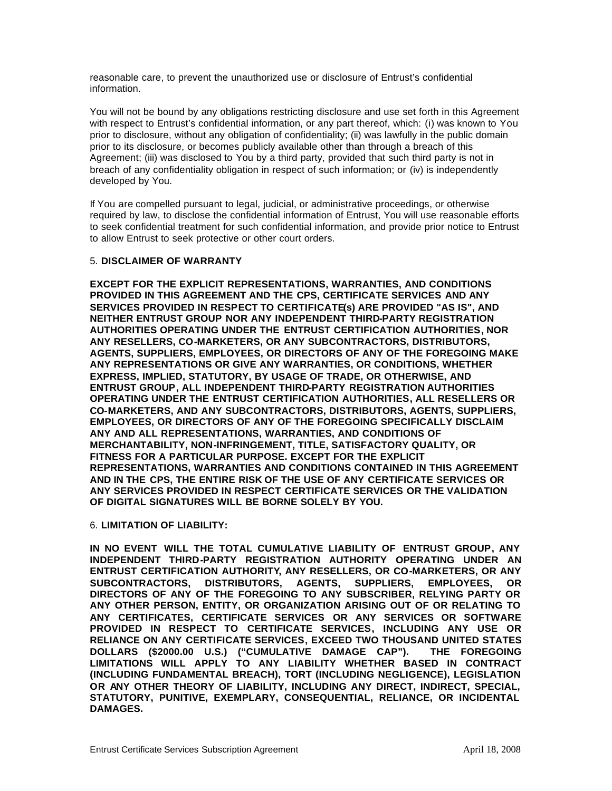reasonable care, to prevent the unauthorized use or disclosure of Entrust's confidential information.

You will not be bound by any obligations restricting disclosure and use set forth in this Agreement with respect to Entrust's confidential information, or any part thereof, which: (i) was known to You prior to disclosure, without any obligation of confidentiality; (ii) was lawfully in the public domain prior to its disclosure, or becomes publicly available other than through a breach of this Agreement; (iii) was disclosed to You by a third party, provided that such third party is not in breach of any confidentiality obligation in respect of such information; or (iv) is independently developed by You.

If You are compelled pursuant to legal, judicial, or administrative proceedings, or otherwise required by law, to disclose the confidential information of Entrust, You will use reasonable efforts to seek confidential treatment for such confidential information, and provide prior notice to Entrust to allow Entrust to seek protective or other court orders.

### 5. **DISCLAIMER OF WARRANTY**

**EXCEPT FOR THE EXPLICIT REPRESENTATIONS, WARRANTIES, AND CONDITIONS PROVIDED IN THIS AGREEMENT AND THE CPS, CERTIFICATE SERVICES AND ANY SERVICES PROVIDED IN RESPECT TO CERTIFICATE(s) ARE PROVIDED "AS IS", AND NEITHER ENTRUST GROUP NOR ANY INDEPENDENT THIRD-PARTY REGISTRATION AUTHORITIES OPERATING UNDER THE ENTRUST CERTIFICATION AUTHORITIES, NOR ANY RESELLERS, CO-MARKETERS, OR ANY SUBCONTRACTORS, DISTRIBUTORS, AGENTS, SUPPLIERS, EMPLOYEES, OR DIRECTORS OF ANY OF THE FOREGOING MAKE ANY REPRESENTATIONS OR GIVE ANY WARRANTIES, OR CONDITIONS, WHETHER EXPRESS, IMPLIED, STATUTORY, BY USAGE OF TRADE, OR OTHERWISE, AND ENTRUST GROUP, ALL INDEPENDENT THIRD-PARTY REGISTRATION AUTHORITIES OPERATING UNDER THE ENTRUST CERTIFICATION AUTHORITIES, ALL RESELLERS OR CO-MARKETERS, AND ANY SUBCONTRACTORS, DISTRIBUTORS, AGENTS, SUPPLIERS, EMPLOYEES, OR DIRECTORS OF ANY OF THE FOREGOING SPECIFICALLY DISCLAIM ANY AND ALL REPRESENTATIONS, WARRANTIES, AND CONDITIONS OF MERCHANTABILITY, NON-INFRINGEMENT, TITLE, SATISFACTORY QUALITY, OR FITNESS FOR A PARTICULAR PURPOSE. EXCEPT FOR THE EXPLICIT REPRESENTATIONS, WARRANTIES AND CONDITIONS CONTAINED IN THIS AGREEMENT AND IN THE CPS, THE ENTIRE RISK OF THE USE OF ANY CERTIFICATE SERVICES OR ANY SERVICES PROVIDED IN RESPECT CERTIFICATE SERVICES OR THE VALIDATION OF DIGITAL SIGNATURES WILL BE BORNE SOLELY BY YOU.**

#### 6. **LIMITATION OF LIABILITY:**

**IN NO EVENT WILL THE TOTAL CUMULATIVE LIABILITY OF ENTRUST GROUP, ANY INDEPENDENT THIRD-PARTY REGISTRATION AUTHORITY OPERATING UNDER AN ENTRUST CERTIFICATION AUTHORITY, ANY RESELLERS, OR CO-MARKETERS, OR ANY SUBCONTRACTORS, DISTRIBUTORS, AGENTS, SUPPLIERS, EMPLOYEES, OR DIRECTORS OF ANY OF THE FOREGOING TO ANY SUBSCRIBER, RELYING PARTY OR ANY OTHER PERSON, ENTITY, OR ORGANIZATION ARISING OUT OF OR RELATING TO ANY CERTIFICATES, CERTIFICATE SERVICES OR ANY SERVICES OR SOFTWARE PROVIDED IN RESPECT TO CERTIFICATE SERVICES, INCLUDING ANY USE OR RELIANCE ON ANY CERTIFICATE SERVICES, EXCEED TWO THOUSAND UNITED STATES DOLLARS (\$2000.00 U.S.) ("CUMULATIVE DAMAGE CAP"). THE FOREGOING LIMITATIONS WILL APPLY TO ANY LIABILITY WHETHER BASED IN CONTRACT (INCLUDING FUNDAMENTAL BREACH), TORT (INCLUDING NEGLIGENCE), LEGISLATION OR ANY OTHER THEORY OF LIABILITY, INCLUDING ANY DIRECT, INDIRECT, SPECIAL, STATUTORY, PUNITIVE, EXEMPLARY, CONSEQUENTIAL, RELIANCE, OR INCIDENTAL DAMAGES.**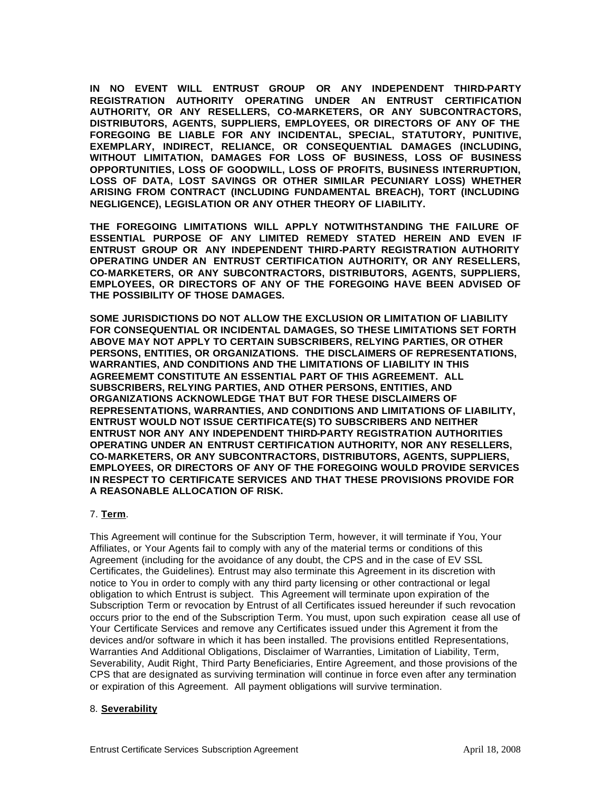**IN NO EVENT WILL ENTRUST GROUP OR ANY INDEPENDENT THIRD-PARTY REGISTRATION AUTHORITY OPERATING UNDER AN ENTRUST CERTIFICATION AUTHORITY, OR ANY RESELLERS, CO-MARKETERS, OR ANY SUBCONTRACTORS, DISTRIBUTORS, AGENTS, SUPPLIERS, EMPLOYEES, OR DIRECTORS OF ANY OF THE FOREGOING BE LIABLE FOR ANY INCIDENTAL, SPECIAL, STATUTORY, PUNITIVE, EXEMPLARY, INDIRECT, RELIANCE, OR CONSEQUENTIAL DAMAGES (INCLUDING, WITHOUT LIMITATION, DAMAGES FOR LOSS OF BUSINESS, LOSS OF BUSINESS OPPORTUNITIES, LOSS OF GOODWILL, LOSS OF PROFITS, BUSINESS INTERRUPTION, LOSS OF DATA, LOST SAVINGS OR OTHER SIMILAR PECUNIARY LOSS) WHETHER ARISING FROM CONTRACT (INCLUDING FUNDAMENTAL BREACH), TORT (INCLUDING NEGLIGENCE), LEGISLATION OR ANY OTHER THEORY OF LIABILITY.** 

**THE FOREGOING LIMITATIONS WILL APPLY NOTWITHSTANDING THE FAILURE OF ESSENTIAL PURPOSE OF ANY LIMITED REMEDY STATED HEREIN AND EVEN IF ENTRUST GROUP OR ANY INDEPENDENT THIRD-PARTY REGISTRATION AUTHORITY OPERATING UNDER AN ENTRUST CERTIFICATION AUTHORITY, OR ANY RESELLERS, CO-MARKETERS, OR ANY SUBCONTRACTORS, DISTRIBUTORS, AGENTS, SUPPLIERS, EMPLOYEES, OR DIRECTORS OF ANY OF THE FOREGOING HAVE BEEN ADVISED OF THE POSSIBILITY OF THOSE DAMAGES.**

**SOME JURISDICTIONS DO NOT ALLOW THE EXCLUSION OR LIMITATION OF LIABILITY FOR CONSEQUENTIAL OR INCIDENTAL DAMAGES, SO THESE LIMITATIONS SET FORTH ABOVE MAY NOT APPLY TO CERTAIN SUBSCRIBERS, RELYING PARTIES, OR OTHER PERSONS, ENTITIES, OR ORGANIZATIONS. THE DISCLAIMERS OF REPRESENTATIONS, WARRANTIES, AND CONDITIONS AND THE LIMITATIONS OF LIABILITY IN THIS AGREEMEMT CONSTITUTE AN ESSENTIAL PART OF THIS AGREEMENT. ALL SUBSCRIBERS, RELYING PARTIES, AND OTHER PERSONS, ENTITIES, AND ORGANIZATIONS ACKNOWLEDGE THAT BUT FOR THESE DISCLAIMERS OF REPRESENTATIONS, WARRANTIES, AND CONDITIONS AND LIMITATIONS OF LIABILITY, ENTRUST WOULD NOT ISSUE CERTIFICATE(S) TO SUBSCRIBERS AND NEITHER ENTRUST NOR ANY ANY INDEPENDENT THIRD-PARTY REGISTRATION AUTHORITIES OPERATING UNDER AN ENTRUST CERTIFICATION AUTHORITY, NOR ANY RESELLERS, CO-MARKETERS, OR ANY SUBCONTRACTORS, DISTRIBUTORS, AGENTS, SUPPLIERS, EMPLOYEES, OR DIRECTORS OF ANY OF THE FOREGOING WOULD PROVIDE SERVICES IN RESPECT TO CERTIFICATE SERVICES AND THAT THESE PROVISIONS PROVIDE FOR A REASONABLE ALLOCATION OF RISK.**

### 7. **Term**.

This Agreement will continue for the Subscription Term, however, it will terminate if You, Your Affiliates, or Your Agents fail to comply with any of the material terms or conditions of this Agreement (including for the avoidance of any doubt, the CPS and in the case of EV SSL Certificates, the Guidelines). Entrust may also terminate this Agreement in its discretion with notice to You in order to comply with any third party licensing or other contractional or legal obligation to which Entrust is subject. This Agreement will terminate upon expiration of the Subscription Term or revocation by Entrust of all Certificates issued hereunder if such revocation occurs prior to the end of the Subscription Term. You must, upon such expiration cease all use of Your Certificate Services and remove any Certificates issued under this Agrement it from the devices and/or software in which it has been installed. The provisions entitled Representations, Warranties And Additional Obligations, Disclaimer of Warranties, Limitation of Liability, Term, Severability, Audit Right, Third Party Beneficiaries, Entire Agreement, and those provisions of the CPS that are designated as surviving termination will continue in force even after any termination or expiration of this Agreement. All payment obligations will survive termination.

### 8. **Severability**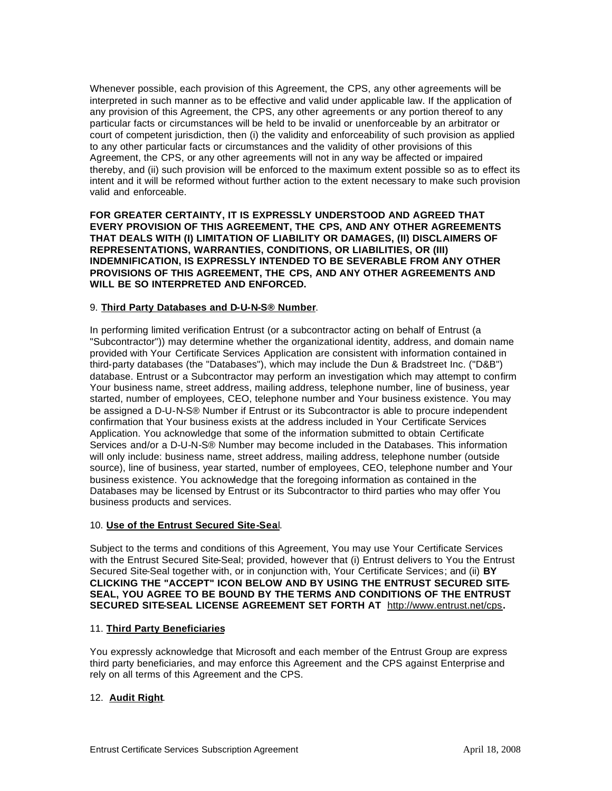Whenever possible, each provision of this Agreement, the CPS, any other agreements will be interpreted in such manner as to be effective and valid under applicable law. If the application of any provision of this Agreement, the CPS, any other agreements or any portion thereof to any particular facts or circumstances will be held to be invalid or unenforceable by an arbitrator or court of competent jurisdiction, then (i) the validity and enforceability of such provision as applied to any other particular facts or circumstances and the validity of other provisions of this Agreement, the CPS, or any other agreements will not in any way be affected or impaired thereby, and (ii) such provision will be enforced to the maximum extent possible so as to effect its intent and it will be reformed without further action to the extent necessary to make such provision valid and enforceable.

**FOR GREATER CERTAINTY, IT IS EXPRESSLY UNDERSTOOD AND AGREED THAT EVERY PROVISION OF THIS AGREEMENT, THE CPS, AND ANY OTHER AGREEMENTS THAT DEALS WITH (I) LIMITATION OF LIABILITY OR DAMAGES, (II) DISCLAIMERS OF REPRESENTATIONS, WARRANTIES, CONDITIONS, OR LIABILITIES, OR (III) INDEMNIFICATION, IS EXPRESSLY INTENDED TO BE SEVERABLE FROM ANY OTHER PROVISIONS OF THIS AGREEMENT, THE CPS, AND ANY OTHER AGREEMENTS AND WILL BE SO INTERPRETED AND ENFORCED.**

### 9. **Third Party Databases and D-U-N-S® Number**.

In performing limited verification Entrust (or a subcontractor acting on behalf of Entrust (a "Subcontractor")) may determine whether the organizational identity, address, and domain name provided with Your Certificate Services Application are consistent with information contained in third-party databases (the "Databases"), which may include the Dun & Bradstreet Inc. ("D&B") database. Entrust or a Subcontractor may perform an investigation which may attempt to confirm Your business name, street address, mailing address, telephone number, line of business, year started, number of employees, CEO, telephone number and Your business existence. You may be assigned a D-U-N-S® Number if Entrust or its Subcontractor is able to procure independent confirmation that Your business exists at the address included in Your Certificate Services Application. You acknowledge that some of the information submitted to obtain Certificate Services and/or a D-U-N-S® Number may become included in the Databases. This information will only include: business name, street address, mailing address, telephone number (outside source), line of business, year started, number of employees, CEO, telephone number and Your business existence. You acknowledge that the foregoing information as contained in the Databases may be licensed by Entrust or its Subcontractor to third parties who may offer You business products and services.

### 10. **Use of the Entrust Secured Site-Sea**l.

Subject to the terms and conditions of this Agreement, You may use Your Certificate Services with the Entrust Secured Site-Seal; provided, however that (i) Entrust delivers to You the Entrust Secured Site-Seal together with, or in conjunction with, Your Certificate Services; and (ii) **BY CLICKING THE "ACCEPT" ICON BELOW AND BY USING THE ENTRUST SECURED SITE-SEAL, YOU AGREE TO BE BOUND BY THE TERMS AND CONDITIONS OF THE ENTRUST SECURED SITE-SEAL LICENSE AGREEMENT SET FORTH AT** http://www.entrust.net/cps**.**

# 11. **Third Party Beneficiaries**

You expressly acknowledge that Microsoft and each member of the Entrust Group are express third party beneficiaries, and may enforce this Agreement and the CPS against Enterprise and rely on all terms of this Agreement and the CPS.

# 12. **Audit Right**.